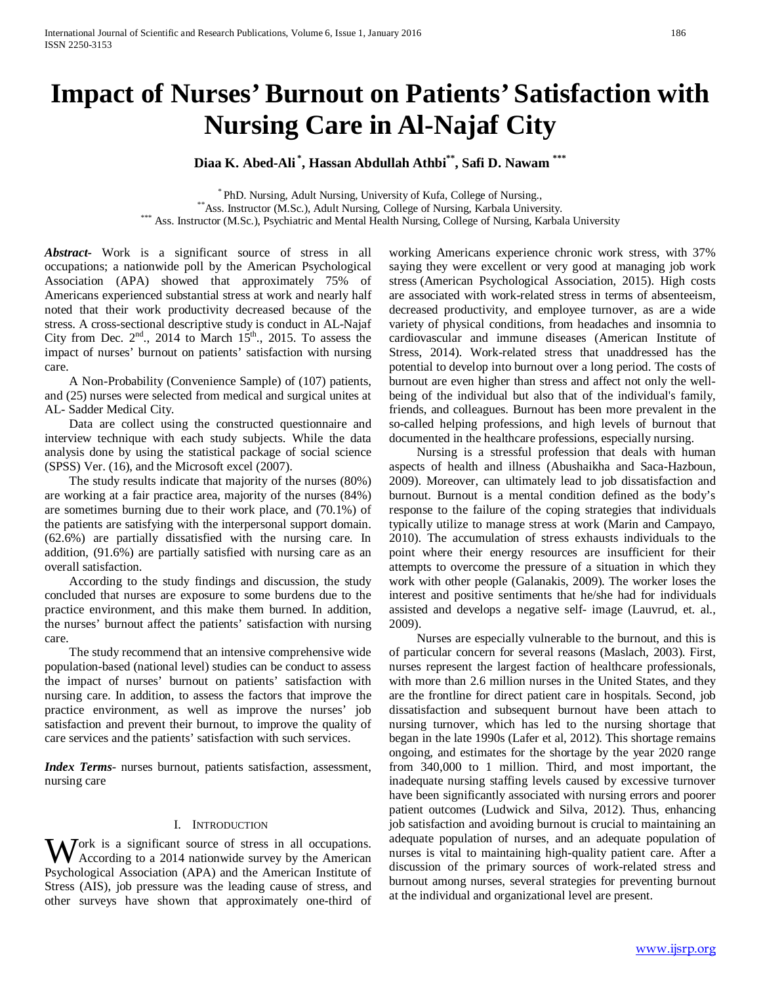# **Impact of Nurses' Burnout on Patients' Satisfaction with Nursing Care in Al-Najaf City**

## **Diaa K. Abed-Ali \* , Hassan Abdullah Athbi\*\*, Safi D. Nawam \*\*\***

\* PhD. Nursing, Adult Nursing, University of Kufa, College of Nursing.,<br>\*\*Ass. Instructor (M.Sc.), Adult Nursing, College of Nursing, Karbala University.<br>\*\*\* Ass. Instructor (M.Sc.), Psychiatric and Mental Health Nursing,

*Abstract***-** Work is a significant source of stress in all occupations; a nationwide poll by the American Psychological Association (APA) showed that approximately 75% of Americans experienced substantial stress at work and nearly half noted that their work productivity decreased because of the stress. A cross-sectional descriptive study is conduct in AL-Najaf City from Dec.  $2<sup>nd</sup>$ , 2014 to March 15<sup>th</sup>., 2015. To assess the impact of nurses' burnout on patients' satisfaction with nursing care.

 A Non-Probability (Convenience Sample) of (107) patients, and (25) nurses were selected from medical and surgical unites at AL- Sadder Medical City.

 Data are collect using the constructed questionnaire and interview technique with each study subjects. While the data analysis done by using the statistical package of social science (SPSS) Ver. (16), and the Microsoft excel (2007).

 The study results indicate that majority of the nurses (80%) are working at a fair practice area, majority of the nurses (84%) are sometimes burning due to their work place, and (70.1%) of the patients are satisfying with the interpersonal support domain. (62.6%) are partially dissatisfied with the nursing care. In addition, (91.6%) are partially satisfied with nursing care as an overall satisfaction.

 According to the study findings and discussion, the study concluded that nurses are exposure to some burdens due to the practice environment, and this make them burned. In addition, the nurses' burnout affect the patients' satisfaction with nursing care.

 The study recommend that an intensive comprehensive wide population-based (national level) studies can be conduct to assess the impact of nurses' burnout on patients' satisfaction with nursing care. In addition, to assess the factors that improve the practice environment, as well as improve the nurses' job satisfaction and prevent their burnout, to improve the quality of care services and the patients' satisfaction with such services.

*Index Terms*- nurses burnout, patients satisfaction, assessment, nursing care

#### I. INTRODUCTION

ork is a significant source of stress in all occupations. Work is a significant source of stress in all occupations.<br>According to a 2014 nationwide survey by the American Psychological Association (APA) and the American Institute of Stress (AIS), job pressure was the leading cause of stress, and other surveys have shown that approximately one-third of

working Americans experience chronic work stress, with 37% saying they were excellent or very good at managing job work stress (American Psychological Association, 2015). High costs are associated with work-related stress in terms of absenteeism, decreased productivity, and employee turnover, as are a wide variety of physical conditions, from headaches and insomnia to cardiovascular and immune diseases (American Institute of Stress, 2014). Work-related stress that unaddressed has the potential to develop into burnout over a long period. The costs of burnout are even higher than stress and affect not only the wellbeing of the individual but also that of the individual's family, friends, and colleagues. Burnout has been more prevalent in the so-called helping professions, and high levels of burnout that documented in the healthcare professions, especially nursing.

 Nursing is a stressful profession that deals with human aspects of health and illness (Abushaikha and Saca-Hazboun, 2009). Moreover, can ultimately lead to job dissatisfaction and burnout. Burnout is a mental condition defined as the body's response to the failure of the coping strategies that individuals typically utilize to manage stress at work (Marin and Campayo, 2010). The accumulation of stress exhausts individuals to the point where their energy resources are insufficient for their attempts to overcome the pressure of a situation in which they work with other people (Galanakis, 2009). The worker loses the interest and positive sentiments that he/she had for individuals assisted and develops a negative self- image (Lauvrud, et. al., 2009).

 Nurses are especially vulnerable to the burnout, and this is of particular concern for several reasons (Maslach, 2003). First, nurses represent the largest faction of healthcare professionals, with more than 2.6 million nurses in the United States, and they are the frontline for direct patient care in hospitals. Second, job dissatisfaction and subsequent burnout have been attach to nursing turnover, which has led to the nursing shortage that began in the late 1990s (Lafer et al, 2012). This shortage remains ongoing, and estimates for the shortage by the year 2020 range from 340,000 to 1 million. Third, and most important, the inadequate nursing staffing levels caused by excessive turnover have been significantly associated with nursing errors and poorer patient outcomes (Ludwick and Silva, 2012). Thus, enhancing job satisfaction and avoiding burnout is crucial to maintaining an adequate population of nurses, and an adequate population of nurses is vital to maintaining high-quality patient care. After a discussion of the primary sources of work-related stress and burnout among nurses, several strategies for preventing burnout at the individual and organizational level are present.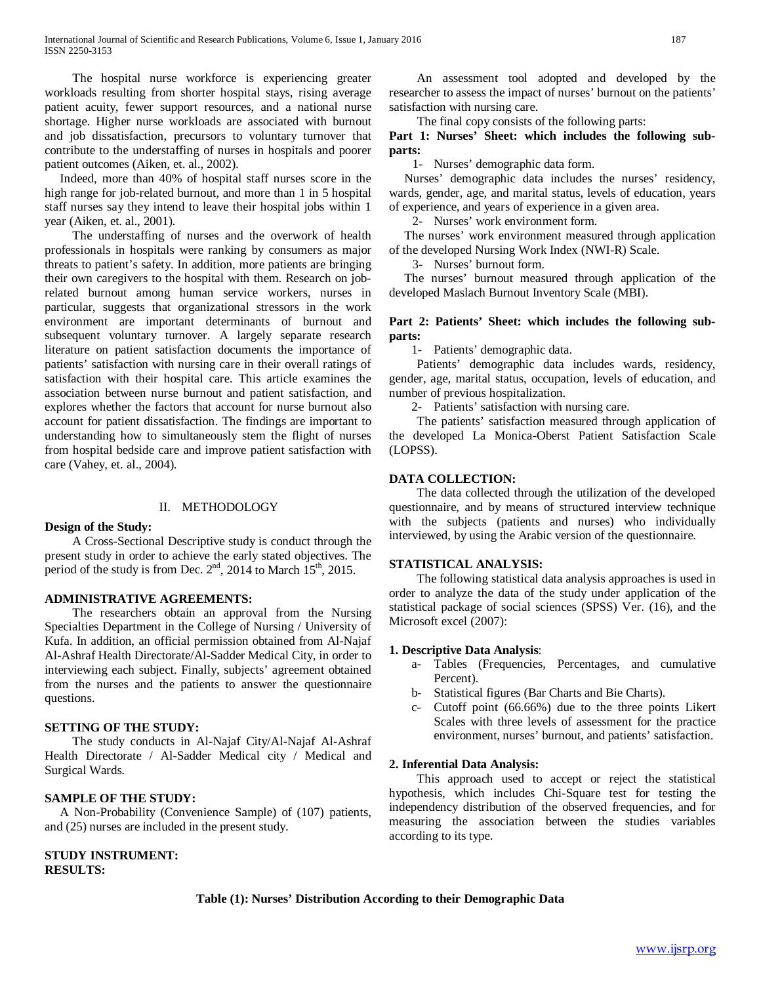The hospital nurse workforce is experiencing greater workloads resulting from shorter hospital stays, rising average patient acuity, fewer support resources, and a national nurse shortage. Higher nurse workloads are associated with burnout and job dissatisfaction, precursors to voluntary turnover that contribute to the understaffing of nurses in hospitals and poorer patient outcomes (Aiken, et. al., 2002).

 Indeed, more than 40% of hospital staff nurses score in the high range for job-related burnout, and more than 1 in 5 hospital staff nurses say they intend to leave their hospital jobs within 1 year (Aiken, et. al., 2001).

 The understaffing of nurses and the overwork of health professionals in hospitals were ranking by consumers as major threats to patient's safety. In addition, more patients are bringing their own caregivers to the hospital with them. Research on jobrelated burnout among human service workers, nurses in particular, suggests that organizational stressors in the work environment are important determinants of burnout and subsequent voluntary turnover. A largely separate research literature on patient satisfaction documents the importance of patients' satisfaction with nursing care in their overall ratings of satisfaction with their hospital care. This article examines the association between nurse burnout and patient satisfaction, and explores whether the factors that account for nurse burnout also account for patient dissatisfaction. The findings are important to understanding how to simultaneously stem the flight of nurses from hospital bedside care and improve patient satisfaction with care (Vahey, et. al., 2004).

#### II. METHODOLOGY

#### **Design of the Study:**

## A Cross-Sectional Descriptive study is conduct through the present study in order to achieve the early stated objectives. The period of the study is from Dec. 2<sup>nd</sup>, 2014 to March 15<sup>th</sup>, 2015.

## **ADMINISTRATIVE AGREEMENTS:**

 The researchers obtain an approval from the Nursing Specialties Department in the College of Nursing / University of Kufa. In addition, an official permission obtained from Al-Najaf Al-Ashraf Health Directorate/Al-Sadder Medical City, in order to interviewing each subject. Finally, subjects' agreement obtained from the nurses and the patients to answer the questionnaire questions.

#### **SETTING OF THE STUDY:**

 The study conducts in Al-Najaf City/Al-Najaf Al-Ashraf Health Directorate / Al-Sadder Medical city / Medical and Surgical Wards.

## **SAMPLE OF THE STUDY:**

 A Non-Probability (Convenience Sample) of (107) patients, and (25) nurses are included in the present study.

**STUDY INSTRUMENT: RESULTS:** 

 An assessment tool adopted and developed by the researcher to assess the impact of nurses' burnout on the patients' satisfaction with nursing care.

The final copy consists of the following parts:

**Part 1: Nurses' Sheet: which includes the following subparts:**

1- Nurses' demographic data form.

 Nurses' demographic data includes the nurses' residency, wards, gender, age, and marital status, levels of education, years of experience, and years of experience in a given area.

2- Nurses' work environment form.

 The nurses' work environment measured through application of the developed Nursing Work Index (NWI-R) Scale.

3- Nurses' burnout form.

 The nurses' burnout measured through application of the developed Maslach Burnout Inventory Scale (MBI).

#### **Part 2: Patients' Sheet: which includes the following subparts:**

1- Patients' demographic data.

 Patients' demographic data includes wards, residency, gender, age, marital status, occupation, levels of education, and number of previous hospitalization.

2- Patients' satisfaction with nursing care.

 The patients' satisfaction measured through application of the developed La Monica-Oberst Patient Satisfaction Scale (LOPSS).

## **DATA COLLECTION:**

 The data collected through the utilization of the developed questionnaire, and by means of structured interview technique with the subjects (patients and nurses) who individually interviewed, by using the Arabic version of the questionnaire.

#### **STATISTICAL ANALYSIS:**

 The following statistical data analysis approaches is used in order to analyze the data of the study under application of the statistical package of social sciences (SPSS) Ver. (16), and the Microsoft excel (2007):

#### **1. Descriptive Data Analysis**:

- a- Tables (Frequencies, Percentages, and cumulative Percent).
- b- Statistical figures (Bar Charts and Bie Charts).
- c- Cutoff point (66.66%) due to the three points Likert Scales with three levels of assessment for the practice environment, nurses' burnout, and patients' satisfaction.

## **2. Inferential Data Analysis:**

 This approach used to accept or reject the statistical hypothesis, which includes Chi-Square test for testing the independency distribution of the observed frequencies, and for measuring the association between the studies variables according to its type.

#### **Table (1): Nurses' Distribution According to their Demographic Data**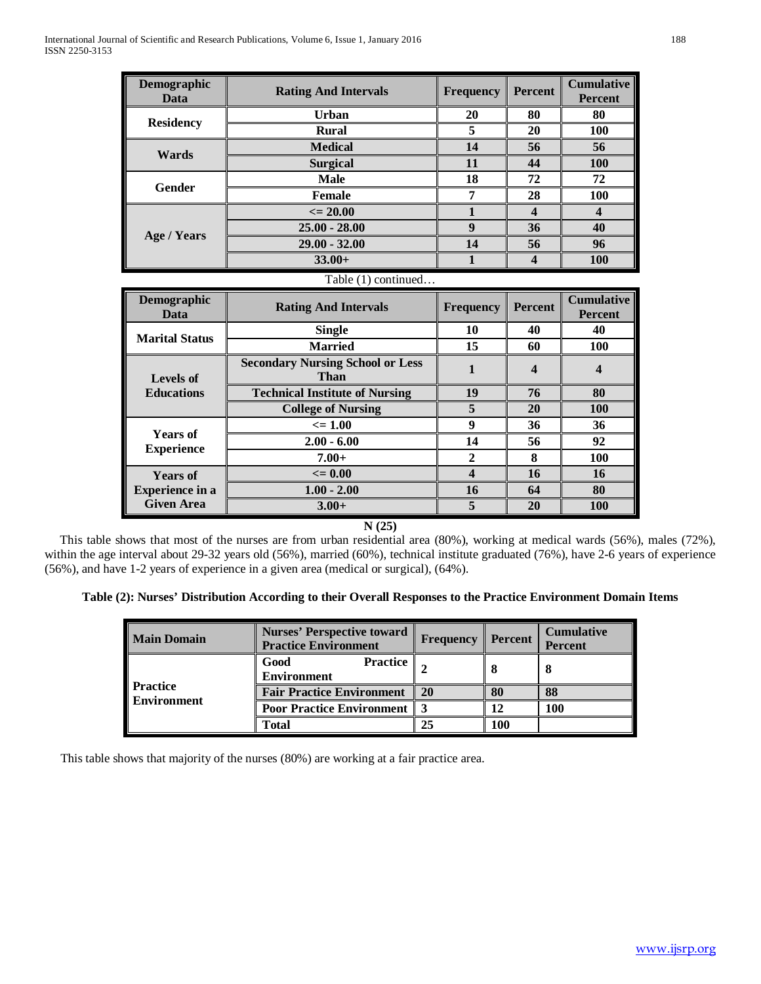**Years of Experience in a Given Area**

| Demographic<br>Data                  | <b>Rating And Intervals</b>                            | <b>Frequency</b> | <b>Percent</b>          | <b>Cumulative</b><br><b>Percent</b> |  |  |  |
|--------------------------------------|--------------------------------------------------------|------------------|-------------------------|-------------------------------------|--|--|--|
|                                      | Urban                                                  | 20               | 80                      | 80                                  |  |  |  |
| <b>Residency</b>                     | <b>Rural</b>                                           | 5                | 20                      | 100                                 |  |  |  |
| Wards                                | <b>Medical</b>                                         | 14               | 56                      | 56                                  |  |  |  |
|                                      | <b>Surgical</b>                                        | 11               | 44                      | <b>100</b>                          |  |  |  |
| <b>Gender</b>                        | <b>Male</b>                                            | 18               | 72                      | 72                                  |  |  |  |
|                                      | <b>Female</b>                                          | 7                | 28                      | <b>100</b>                          |  |  |  |
|                                      | $\epsilon = 20.00$                                     | 1                | $\overline{\mathbf{4}}$ | $\overline{\mathbf{4}}$             |  |  |  |
|                                      | $25.00 - 28.00$                                        | 9                | 36                      | 40                                  |  |  |  |
| <b>Age / Years</b>                   | $29.00 - 32.00$                                        | 14               | 56                      | 96                                  |  |  |  |
|                                      | $33.00+$                                               | $\mathbf{1}$     | $\boldsymbol{4}$        | 100                                 |  |  |  |
| Table (1) continued                  |                                                        |                  |                         |                                     |  |  |  |
|                                      |                                                        |                  |                         |                                     |  |  |  |
| Demographic<br>Data                  | <b>Rating And Intervals</b>                            | <b>Frequency</b> | <b>Percent</b>          | <b>Cumulative</b><br><b>Percent</b> |  |  |  |
|                                      | <b>Single</b>                                          | 10               | 40                      | 40                                  |  |  |  |
| <b>Marital Status</b>                | <b>Married</b>                                         | 15               | 60                      | 100                                 |  |  |  |
| Levels of                            | <b>Secondary Nursing School or Less</b><br><b>Than</b> | $\mathbf{1}$     | $\boldsymbol{4}$        | $\boldsymbol{4}$                    |  |  |  |
| <b>Educations</b>                    | <b>Technical Institute of Nursing</b>                  | 19               | 76                      | 80                                  |  |  |  |
|                                      | <b>College of Nursing</b>                              | 5                | 20                      | <b>100</b>                          |  |  |  |
|                                      | $\leq 1.00$                                            | 9                | 36                      | 36                                  |  |  |  |
| <b>Years of</b><br><b>Experience</b> | $2.00 - 6.00$                                          | 14               | 56                      | 92                                  |  |  |  |

**N (25)**

**<= 0.00 4 16 16 1.00 - 2.00 16 64 80 3.00+ 5 20 100**

 This table shows that most of the nurses are from urban residential area (80%), working at medical wards (56%), males (72%), within the age interval about 29-32 years old (56%), married (60%), technical institute graduated (76%), have 2-6 years of experience (56%), and have 1-2 years of experience in a given area (medical or surgical), (64%).

## **Table (2): Nurses' Distribution According to their Overall Responses to the Practice Environment Domain Items**

| <b>Main Domain</b>                    | <b>Nurses' Perspective toward</b><br><b>Practice Environment</b> | <b>Frequency</b> | <b>Percent</b> | <b>Cumulative</b><br><b>Percent</b> |
|---------------------------------------|------------------------------------------------------------------|------------------|----------------|-------------------------------------|
| <b>Practice</b><br><b>Environment</b> | Good<br><b>Practice</b><br><b>Environment</b>                    |                  | 8              | 8                                   |
|                                       | <b>Fair Practice Environment</b>                                 | <b>20</b>        | 80             | 88                                  |
|                                       | <b>Poor Practice Environment   3</b>                             |                  | 12             | 100                                 |
|                                       | Total                                                            | 25               | <b>100</b>     |                                     |

This table shows that majority of the nurses (80%) are working at a fair practice area.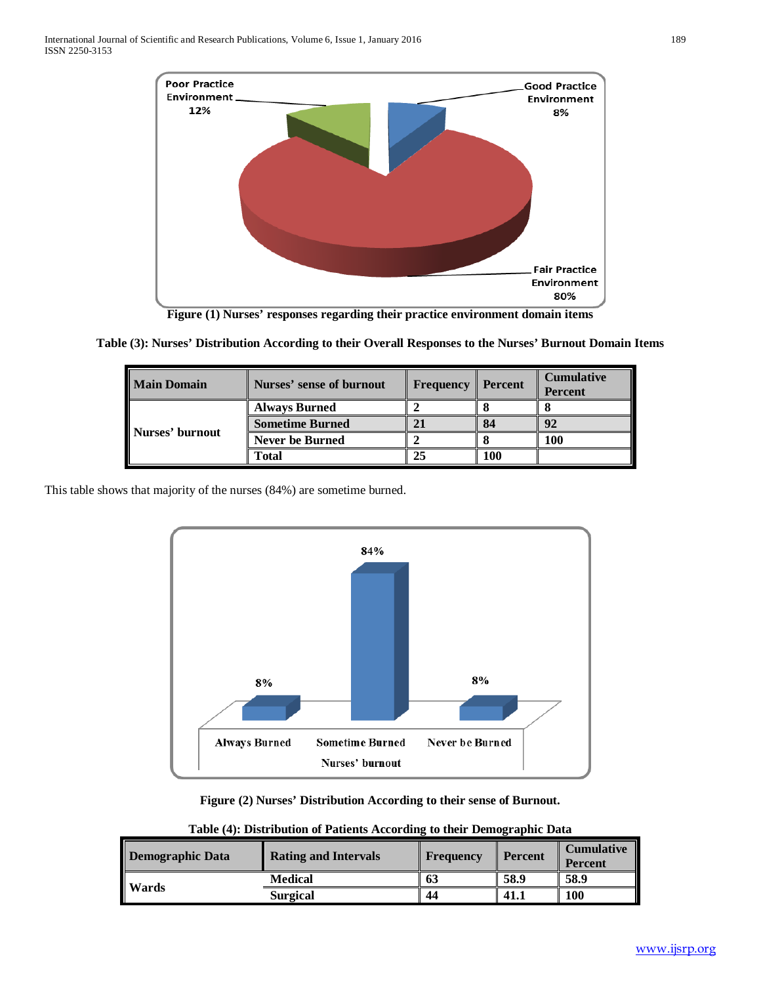

**Figure (1) Nurses' responses regarding their practice environment domain items**

| <b>Main Domain</b> | Nurses' sense of burnout | <b>Frequency Percent</b> |     | <b>Cumulative</b><br><b>Percent</b> |
|--------------------|--------------------------|--------------------------|-----|-------------------------------------|
| Nurses' burnout    | <b>Always Burned</b>     |                          |     |                                     |
|                    | <b>Sometime Burned</b>   |                          | 84  | 92                                  |
|                    | <b>Never be Burned</b>   |                          |     | 100                                 |
|                    | <b>Total</b>             |                          | 100 |                                     |

**Table (3): Nurses' Distribution According to their Overall Responses to the Nurses' Burnout Domain Items**

This table shows that majority of the nurses (84%) are sometime burned.



**Figure (2) Nurses' Distribution According to their sense of Burnout.**

|                         |                             |           | $\overline{\phantom{a}}$ |                                     |
|-------------------------|-----------------------------|-----------|--------------------------|-------------------------------------|
| <b>Demographic Data</b> | <b>Rating and Intervals</b> | Frequency | <b>Percent</b>           | <b>Cumulative</b><br><b>Percent</b> |
|                         | <b>Medical</b>              | 63        | 58.9                     | 58.9                                |
| Wards                   | <b>Surgical</b>             | 44        | $-41.1$                  | 100                                 |

**Table (4): Distribution of Patients According to their Demographic Data**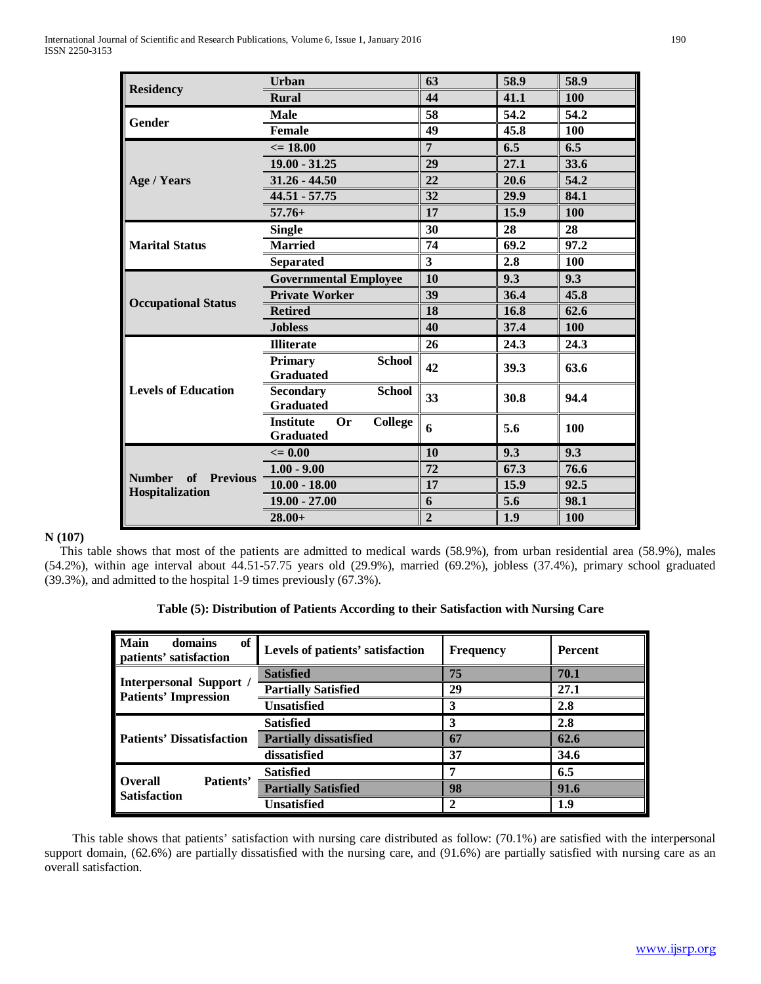|                                                 | <b>Urban</b>                                                        | 63             | 58.9 | 58.9 |
|-------------------------------------------------|---------------------------------------------------------------------|----------------|------|------|
| <b>Residency</b>                                | <b>Rural</b>                                                        | 44             | 41.1 | 100  |
|                                                 | <b>Male</b>                                                         | 58             | 54.2 | 54.2 |
| Gender                                          | <b>Female</b>                                                       | 49             | 45.8 | 100  |
|                                                 | $\epsilon = 18.00$                                                  | $\overline{7}$ | 6.5  | 6.5  |
|                                                 | $19.00 - 31.25$                                                     | 29             | 27.1 | 33.6 |
| Age / Years                                     | $31.26 - 44.50$                                                     | 22             | 20.6 | 54.2 |
|                                                 | $44.51 - 57.75$                                                     | 32             | 29.9 | 84.1 |
|                                                 | $57.76+$                                                            | 17             | 15.9 | 100  |
|                                                 | <b>Single</b>                                                       | 30             | 28   | 28   |
| <b>Marital Status</b>                           | <b>Married</b>                                                      | 74             | 69.2 | 97.2 |
|                                                 | <b>Separated</b>                                                    | $\mathbf{3}$   | 2.8  | 100  |
|                                                 | <b>Governmental Employee</b>                                        | 10             | 9.3  | 9.3  |
|                                                 | <b>Private Worker</b>                                               | 39             | 36.4 | 45.8 |
| <b>Occupational Status</b>                      | <b>Retired</b>                                                      | 18             | 16.8 | 62.6 |
|                                                 | <b>Jobless</b>                                                      | 40             | 37.4 | 100  |
|                                                 | <b>Illiterate</b>                                                   | 26             | 24.3 | 24.3 |
|                                                 | <b>School</b><br><b>Primary</b><br><b>Graduated</b>                 | 42             | 39.3 | 63.6 |
| <b>Levels of Education</b>                      | <b>Secondary</b><br><b>School</b><br><b>Graduated</b>               | 33             | 30.8 | 94.4 |
|                                                 | <b>Institute</b><br><b>Or</b><br><b>College</b><br><b>Graduated</b> | 6              | 5.6  | 100  |
|                                                 | $\leq$ 0.00                                                         | 10             | 9.3  | 9.3  |
|                                                 | $1.00 - 9.00$                                                       | 72             | 67.3 | 76.6 |
| <b>Number</b><br>of Previous<br>Hospitalization | $10.00 - 18.00$                                                     | 17             | 15.9 | 92.5 |
|                                                 | $19.00 - 27.00$                                                     | 6              | 5.6  | 98.1 |
|                                                 | $28.00+$                                                            | $\overline{2}$ | 1.9  | 100  |

## **N (107)**

 This table shows that most of the patients are admitted to medical wards (58.9%), from urban residential area (58.9%), males (54.2%), within age interval about 44.51-57.75 years old (29.9%), married (69.2%), jobless (37.4%), primary school graduated (39.3%), and admitted to the hospital 1-9 times previously (67.3%).

| Table (5): Distribution of Patients According to their Satisfaction with Nursing Care |  |  |  |
|---------------------------------------------------------------------------------------|--|--|--|
|                                                                                       |  |  |  |

| Main<br>of<br>domains<br>patients' satisfaction        | Levels of patients' satisfaction | <b>Frequency</b> | <b>Percent</b> |
|--------------------------------------------------------|----------------------------------|------------------|----------------|
|                                                        | <b>Satisfied</b>                 | 75               | 70.1           |
| Interpersonal Support /<br><b>Patients' Impression</b> | <b>Partially Satisfied</b>       | 29               | 27.1           |
|                                                        | Unsatisfied                      |                  | 2.8            |
|                                                        | <b>Satisfied</b>                 |                  | 2.8            |
| <b>Patients' Dissatisfaction</b>                       | <b>Partially dissatisfied</b>    | 67               | 62.6           |
|                                                        | dissatisfied                     | 37               | 34.6           |
|                                                        | <b>Satisfied</b>                 |                  | 6.5            |
| Patients'<br><b>Overall</b><br><b>Satisfaction</b>     | <b>Partially Satisfied</b>       | 98               | 91.6           |
|                                                        | Unsatisfied                      |                  | 1.9            |

 This table shows that patients' satisfaction with nursing care distributed as follow: (70.1%) are satisfied with the interpersonal support domain, (62.6%) are partially dissatisfied with the nursing care, and (91.6%) are partially satisfied with nursing care as an overall satisfaction.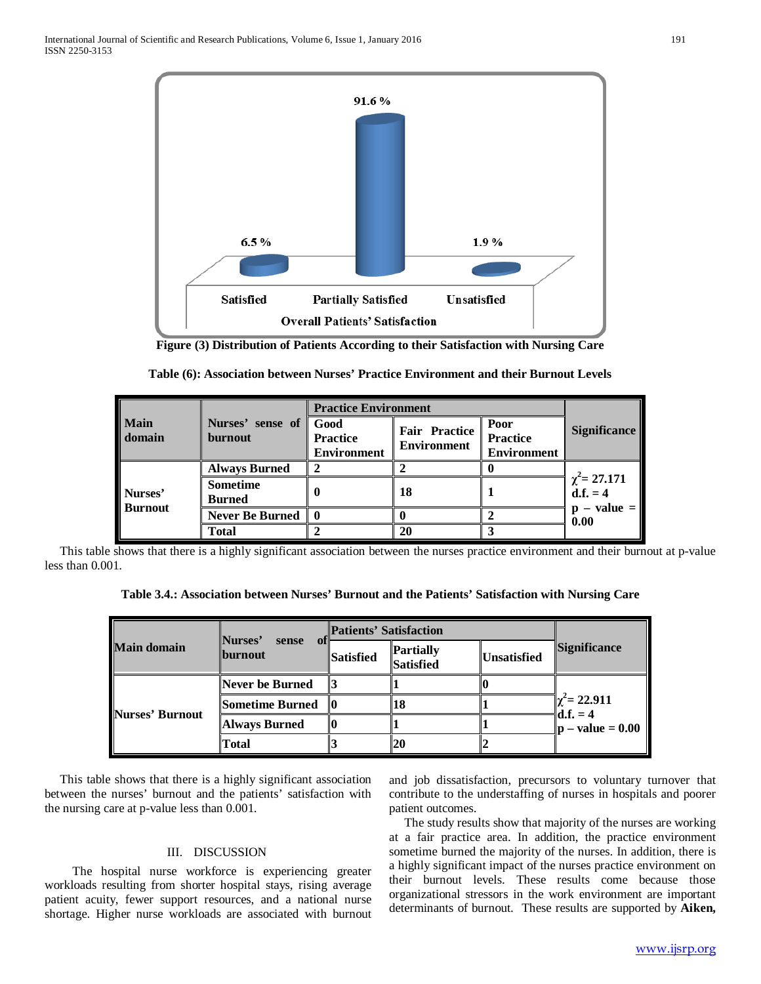

**Figure (3) Distribution of Patients According to their Satisfaction with Nursing Care**

|                           |                                  | <b>Practice Environment</b>                   |                                            |                                               |                                                |
|---------------------------|----------------------------------|-----------------------------------------------|--------------------------------------------|-----------------------------------------------|------------------------------------------------|
| <b>Main</b><br>domain     | Nurses' sense of<br>burnout      | Good<br><b>Practice</b><br><b>Environment</b> | <b>Fair Practice</b><br><b>Environment</b> | Poor<br><b>Practice</b><br><b>Environment</b> | <b>Significance</b>                            |
| Nurses'<br><b>Burnout</b> | <b>Always Burned</b>             | 2                                             |                                            |                                               |                                                |
|                           | <b>Sometime</b><br><b>Burned</b> |                                               | 18                                         |                                               | $\chi^2$ = 27.171<br>d.f. = 4<br>$p - value =$ |
|                           | <b>Never Be Burned</b>           | 0                                             |                                            |                                               | 0.00                                           |
|                           | <b>Total</b>                     |                                               | 20                                         |                                               |                                                |

 This table shows that there is a highly significant association between the nurses practice environment and their burnout at p-value less than 0.001.

**Table 3.4.: Association between Nurses' Burnout and the Patients' Satisfaction with Nursing Care**

| <b>Main domain</b> | <b>Nurses'</b><br>sense<br><b>Iburnout</b> | <b>Patients' Satisfaction</b> |                                      |                                   |                                                        |
|--------------------|--------------------------------------------|-------------------------------|--------------------------------------|-----------------------------------|--------------------------------------------------------|
|                    |                                            | Satisfied                     | <b>Partially</b><br><b>Satisfied</b> | <i><u><b>IUnsatisfied</b></u></i> | <b>Significance</b>                                    |
| Nurses' Burnout    | Never be Burned                            |                               |                                      |                                   | $\chi^2$ = 22.911<br>$\mathbf{d} \cdot \mathbf{f} = 4$ |
|                    | <b>Sometime Burned</b>                     |                               | 18                                   |                                   |                                                        |
|                    | <b>Always Burned</b>                       |                               |                                      |                                   | $\vert \mathbf{p} - \mathbf{value} = 0.00 \vert$       |
|                    | Total                                      |                               | 20                                   |                                   |                                                        |

 This table shows that there is a highly significant association between the nurses' burnout and the patients' satisfaction with the nursing care at p-value less than 0.001.

#### III. DISCUSSION

 The hospital nurse workforce is experiencing greater workloads resulting from shorter hospital stays, rising average patient acuity, fewer support resources, and a national nurse shortage. Higher nurse workloads are associated with burnout and job dissatisfaction, precursors to voluntary turnover that contribute to the understaffing of nurses in hospitals and poorer patient outcomes.

 The study results show that majority of the nurses are working at a fair practice area. In addition, the practice environment sometime burned the majority of the nurses. In addition, there is a highly significant impact of the nurses practice environment on their burnout levels. These results come because those organizational stressors in the work environment are important determinants of burnout. These results are supported by **Aiken,**